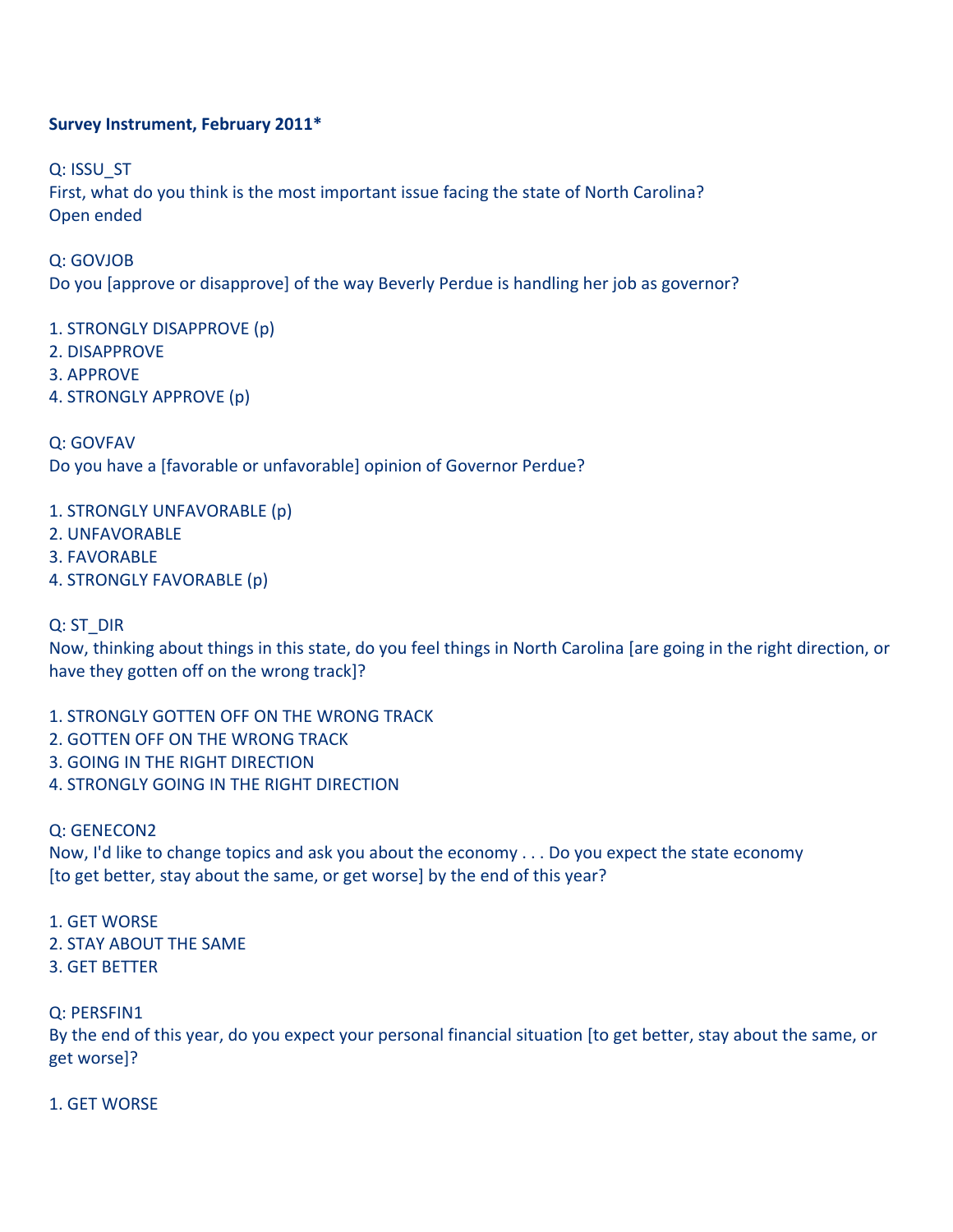### **Survey
Instrument,
February
2011\***

Q:
ISSU\_ST First, what do you think is the most important issue facing the state of North Carolina? Open
ended

Q:
GOVJOB Do you (approve or disapprove) of the way Beverly Perdue is handling her job as governor?

1.
STRONGLY
DISAPPROVE
(p)

- 2.
DISAPPROVE
- 3.
APPROVE
- 4.
STRONGLY
APPROVE
(p)

Q:
GOVFAV

Do you have a [favorable or unfavorable] opinion of Governor Perdue?

1.
STRONGLY
UNFAVORABLE
(p)

2.
UNFAVORABLE

3.
FAVORABLE

4.
STRONGLY
FAVORABLE
(p)

Q:
ST\_DIR

Now, thinking about things in this state, do you feel things in North Carolina [are going in the right direction, or have
they
gotten
off
on
the
wrong
track]?

- 1.
STRONGLY
GOTTEN
OFF
ON
THE
WRONG
TRACK
- 2.
GOTTEN
OFF
ON
THE
WRONG
TRACK
- 3.
GOING
IN
THE
RIGHT
DIRECTION
- 4.
STRONGLY
GOING
IN
THE
RIGHT
DIRECTION

Q:
GENECON2

Now, I'd like to change topics and ask you about the economy . . . Do you expect the state economy [to get better, stay about the same, or get worse] by the end of this year?

1.
GET
WORSE

- 2.
STAY
ABOUT
THE
SAME
- 3.
GET
BETTER

Q:
PERSFIN1

By the end of this year, do you expect your personal financial situation [to get better, stay about the same, or get
worse]?

1.
GET
WORSE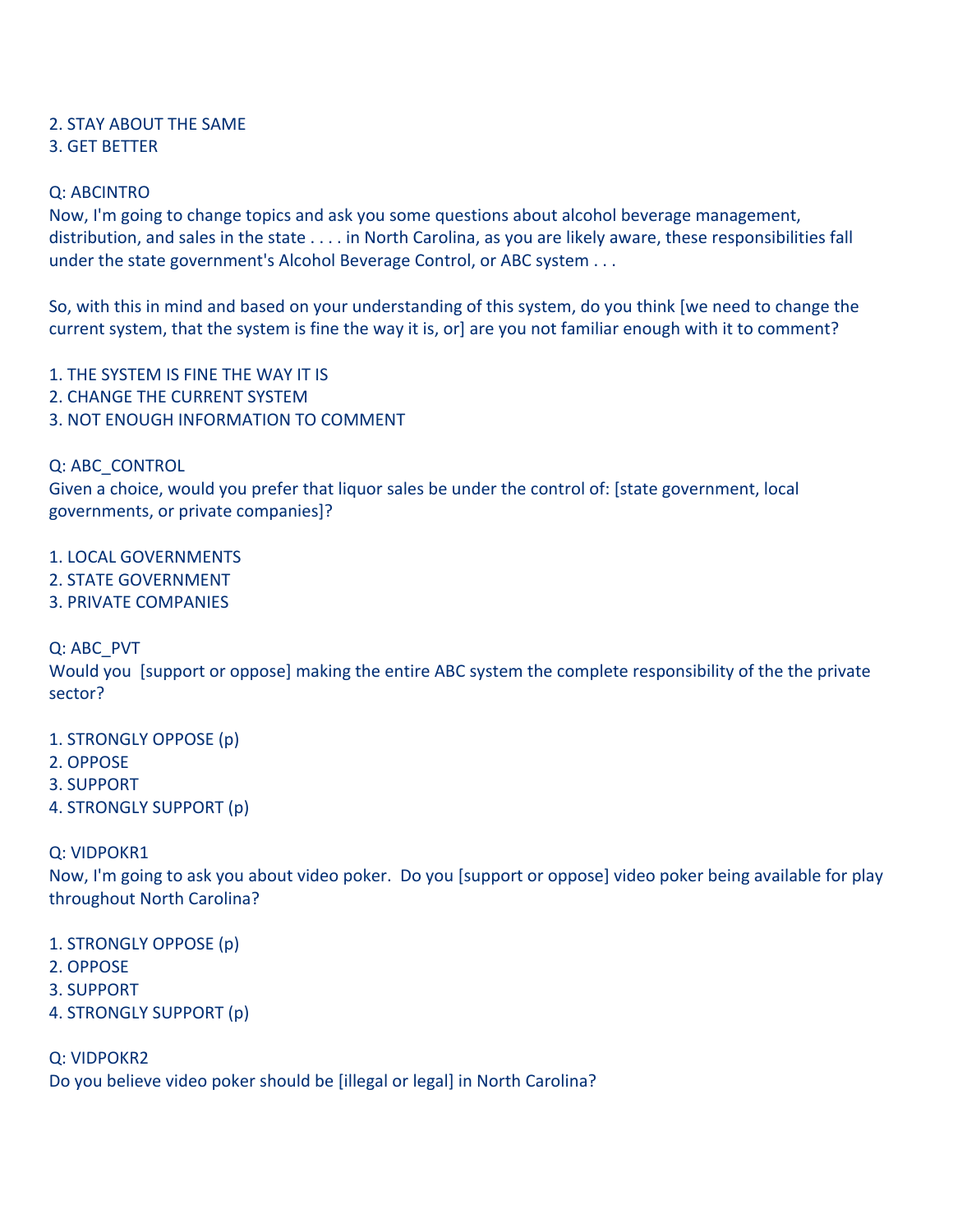# 2.
STAY
ABOUT
THE
SAME

### 3.
GET
BETTER

# Q:
ABCINTRO

Now, I'm going to change topics and ask you some questions about alcohol beverage management, distribution, and sales in the state . . . . in North Carolina, as you are likely aware, these responsibilities fall under the state government's Alcohol Beverage Control, or ABC system . . .

So, with this in mind and based on your understanding of this system, do you think [we need to change the current system, that the system is fine the way it is, or] are you not familiar enough with it to comment?

1.
THE
SYSTEM
IS
FINE
THE
WAY
IT
IS

- 2.
CHANGE
THE
CURRENT
SYSTEM
- 3.
NOT
ENOUGH
INFORMATION
TO
COMMENT

Q:
ABC\_CONTROL

Given a choice, would you prefer that liquor sales be under the control of: [state government, local governments,
or
private
companies]?

1.
LOCAL
GOVERNMENTS

- 2.
STATE
GOVERNMENT
- 3.
PRIVATE
COMPANIES

Q:
ABC\_PVT

Would you [support or oppose] making the entire ABC system the complete responsibility of the the private sector?

1.
STRONGLY
OPPOSE
(p)

- 2.
OPPOSE
- 3.
SUPPORT
- 4.
STRONGLY
SUPPORT
(p)

Q:
VIDPOKR1

Now, I'm going to ask you about video poker. Do you [support or oppose] video poker being available for play throughout
North
Carolina?

- 1.
STRONGLY
OPPOSE
(p)
- 2.
OPPOSE
- 3.
SUPPORT
- 4.
STRONGLY
SUPPORT
(p)

Q:
VIDPOKR2

Do you believe video poker should be [illegal or legal] in North Carolina?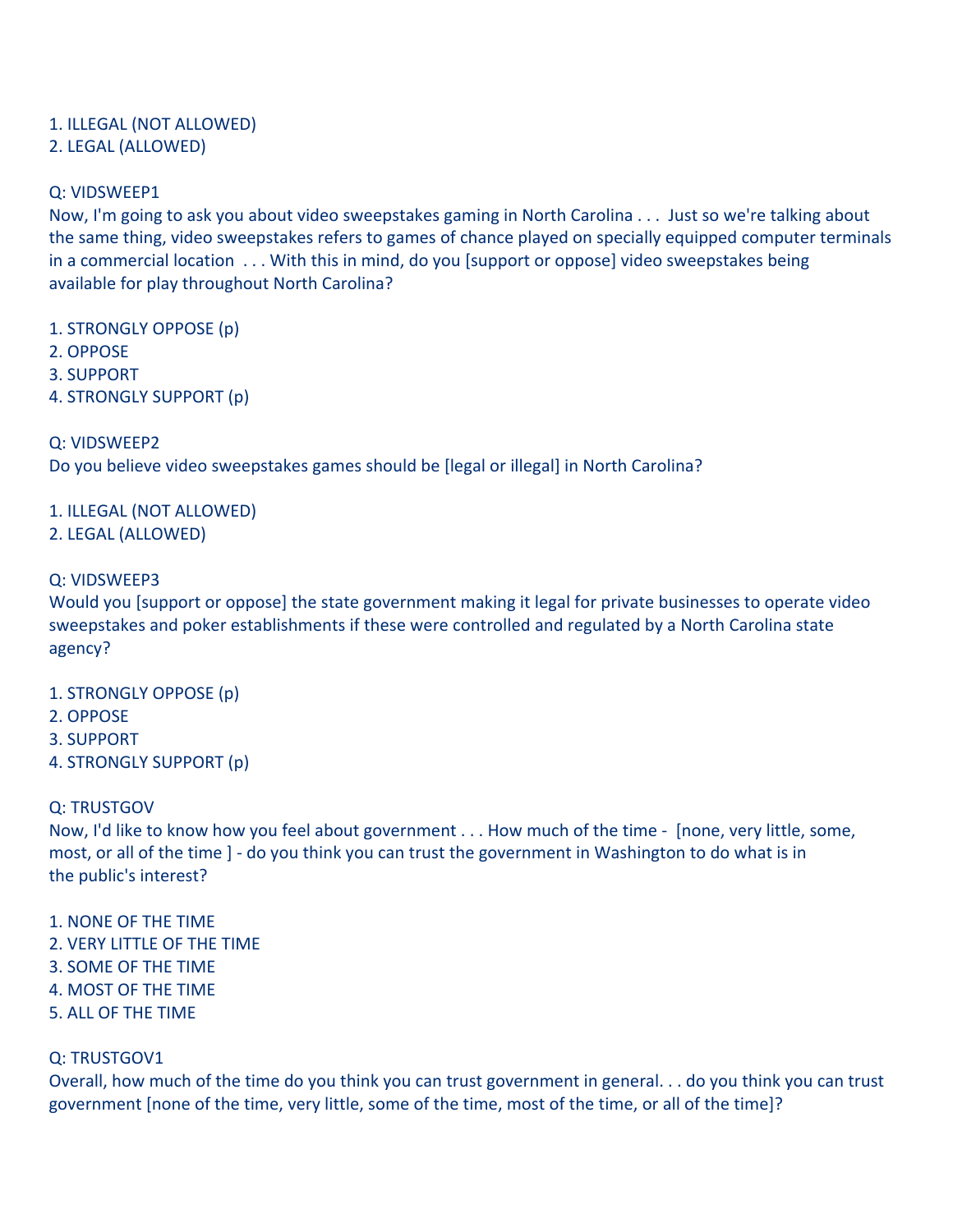# 1.
ILLEGAL
(NOT
ALLOWED)

# 2.
LEGAL
(ALLOWED)

# Q:
VIDSWEEP1

Now, I'm going to ask you about video sweepstakes gaming in North Carolina . . . Just so we're talking about the
same
thing,
video
sweepstakes
refers
to
games
of
chance
played
on
specially
equipped
computer
terminals in a commercial location . . . With this in mind, do you [support or oppose] video sweepstakes being available
for
play
throughout
North
Carolina?

1.
STRONGLY
OPPOSE
(p)

- 2.
OPPOSE
- 3.
SUPPORT
- 4.
STRONGLY
SUPPORT
(p)

# Q:
VIDSWEEP2

Do you believe video sweepstakes games should be [legal or illegal] in North Carolina?

# 1.
ILLEGAL
(NOT
ALLOWED)

2.
LEGAL
(ALLOWED)

# Q:
VIDSWEEP3

Would you (support or oppose) the state government making it legal for private businesses to operate video sweepstakes and poker establishments if these were controlled and regulated by a North Carolina state agency?

- 1.
STRONGLY
OPPOSE
(p)
- 2.
OPPOSE
- 3.
SUPPORT
- 4.
STRONGLY
SUPPORT
(p)

# Q:
TRUSTGOV

Now, I'd like to know how you feel about government . . . How much of the time - [none, very little, some, most, or all of the time ] - do you think you can trust the government in Washington to do what is in the
public's
interest?

### 1.
NONE
OF
THE
TIME

- 2.
VERY
LITTLE
OF
THE
TIME
- 3.
SOME
OF
THE
TIME
- 4.
MOST
OF
THE
TIME
- 5.
ALL
OF
THE
TIME

# Q:
TRUSTGOV1

Overall, how much of the time do you think you can trust government in general. . . do you think you can trust government [none of the time, very little, some of the time, most of the time, or all of the time]?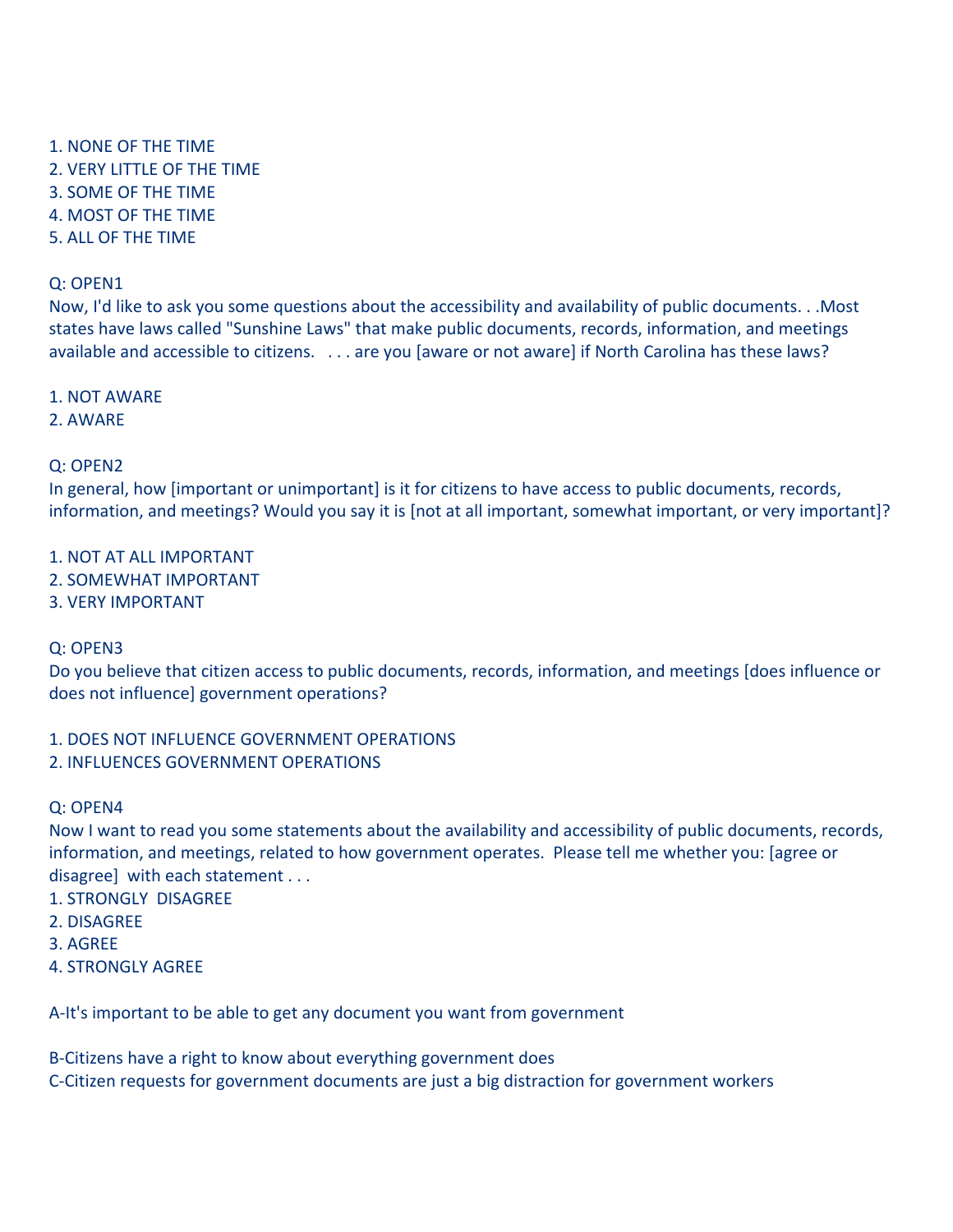- 1.
NONE
OF
THE
TIME 2.
VERY
LITTLE
OF
THE
TIME 3.
SOME
OF
THE
TIME
- 4.
MOST
OF
THE
TIME
- 5.
ALL
OF
THE
TIME

#### Q:
OPEN1

Now, I'd like to ask you some questions about the accessibility and availability of public documents...Most states have laws called "Sunshine Laws" that make public documents, records, information, and meetings available and accessible to citizens. . . . . are you [aware or not aware] if North Carolina has these laws?

#### 1.
NOT
AWARE

2.
AWARE

### Q:
OPEN2

In general, how [important or unimportant] is it for citizens to have access to public documents, records, information, and meetings? Would you say it is [not at all important, somewhat important, or very important]?

- 1.
NOT
AT
ALL
IMPORTANT
- 2.
SOMEWHAT
IMPORTANT
- 3.
VERY
IMPORTANT

### Q:
OPEN3

Do you believe that citizen access to public documents, records, information, and meetings [does influence or does
not
influence]
government
operations?

### 1.
DOES
NOT
INFLUENCE
GOVERNMENT
OPERATIONS

2.
INFLUENCES
GOVERNMENT
OPERATIONS

#### Q:
OPEN4

Now I want to read you some statements about the availability and accessibility of public documents, records, information, and meetings, related to how government operates. Please tell me whether you: [agree or disagree] with each statement . . .

- 1.
STRONGLY

DISAGREE
- 2.
DISAGREE
- 3.
AGREE
- 4.
STRONGLY
AGREE

A‐It's
important
to
be
able
to
get any
document
you
want
from
government

B‐Citizens
have
a
right
to
know
about
everything
government
does

C‐Citizen
requests
for
government
documents
are
just
a
big
distraction
for
government
workers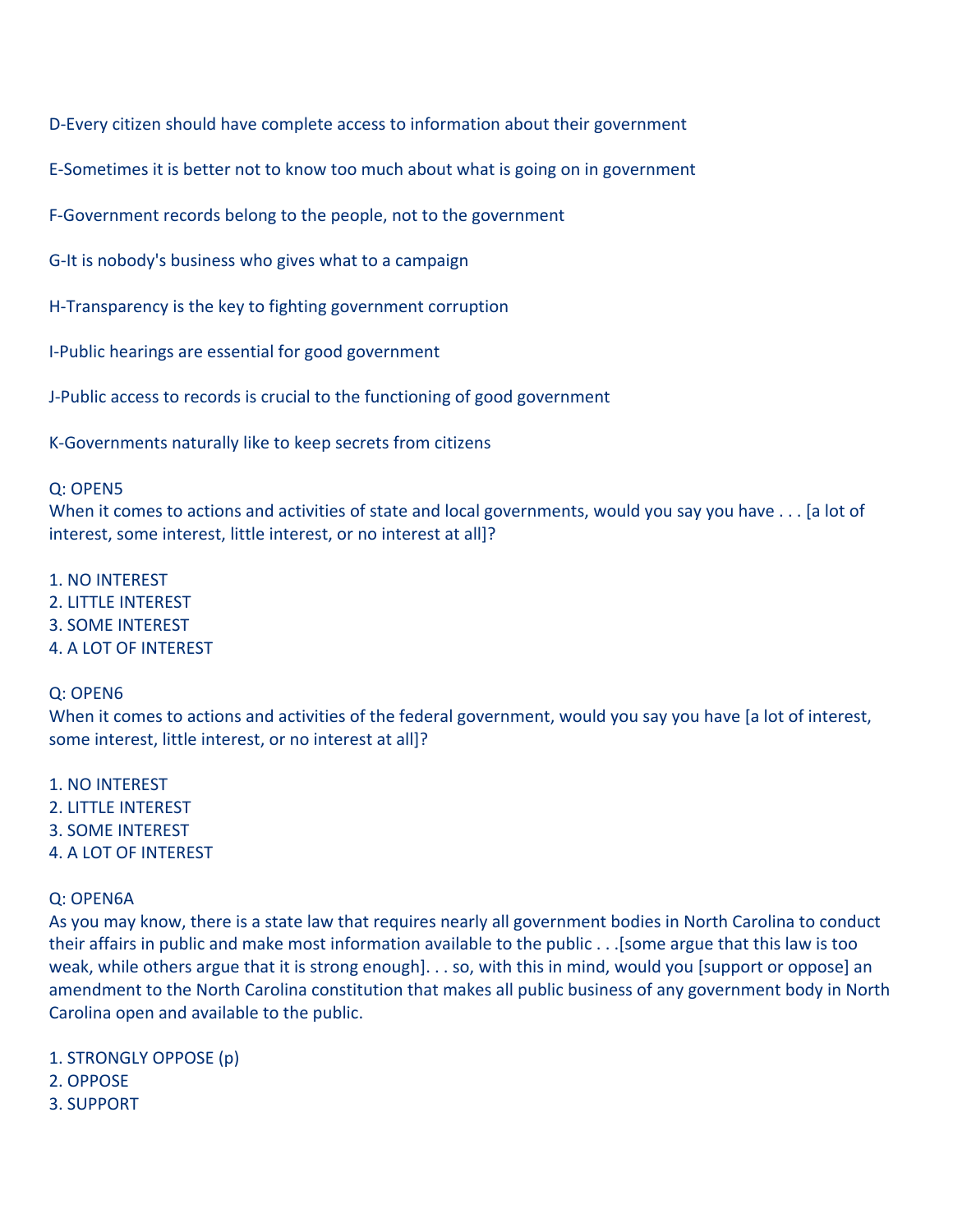D-Every citizen should have complete access to information about their government

E-Sometimes it is better not to know too much about what is going on in government

F-Government records belong to the people, not to the government

G-It is nobody's business who gives what to a campaign

H-Transparency is the key to fighting government corruption

I‐Public
hearings
are
essential
for
good
government

J‐Public
access
to
records
is
crucial
to
the
functioning
of
good
government

K‐Governments
naturally
like
to
keep
secrets
from
citizens

#### Q:
OPEN5

When it comes to actions and activities of state and local governments, would you say you have . . . [a lot of interest, some interest, little interest, or no interest at all]?

1.
NO
INTEREST

- 2.
LITTLE
INTEREST
- 3.
SOME
INTEREST
- 4.
A
LOT
OF
INTEREST

### Q:
OPEN6

When it comes to actions and activities of the federal government, would you say you have [a lot of interest, some interest, little interest, or no interest at all]?

1.
NO
INTEREST 2.
LITTLE
INTEREST 3.
SOME
INTEREST 4.
A
LOT
OF
INTEREST

### Q:
OPEN6A

As you may know, there is a state law that requires nearly all government bodies in North Carolina to conduct their affairs in public and make most information available to the public . . . [some argue that this law is too weak, while others argue that it is strong enough]. . . so, with this in mind, would you [support or oppose] an amendment to the North Carolina constitution that makes all public business of any government body in North Carolina open and available to the public.

- 1.
STRONGLY
OPPOSE
(p) 2.
OPPOSE
- 3.
SUPPORT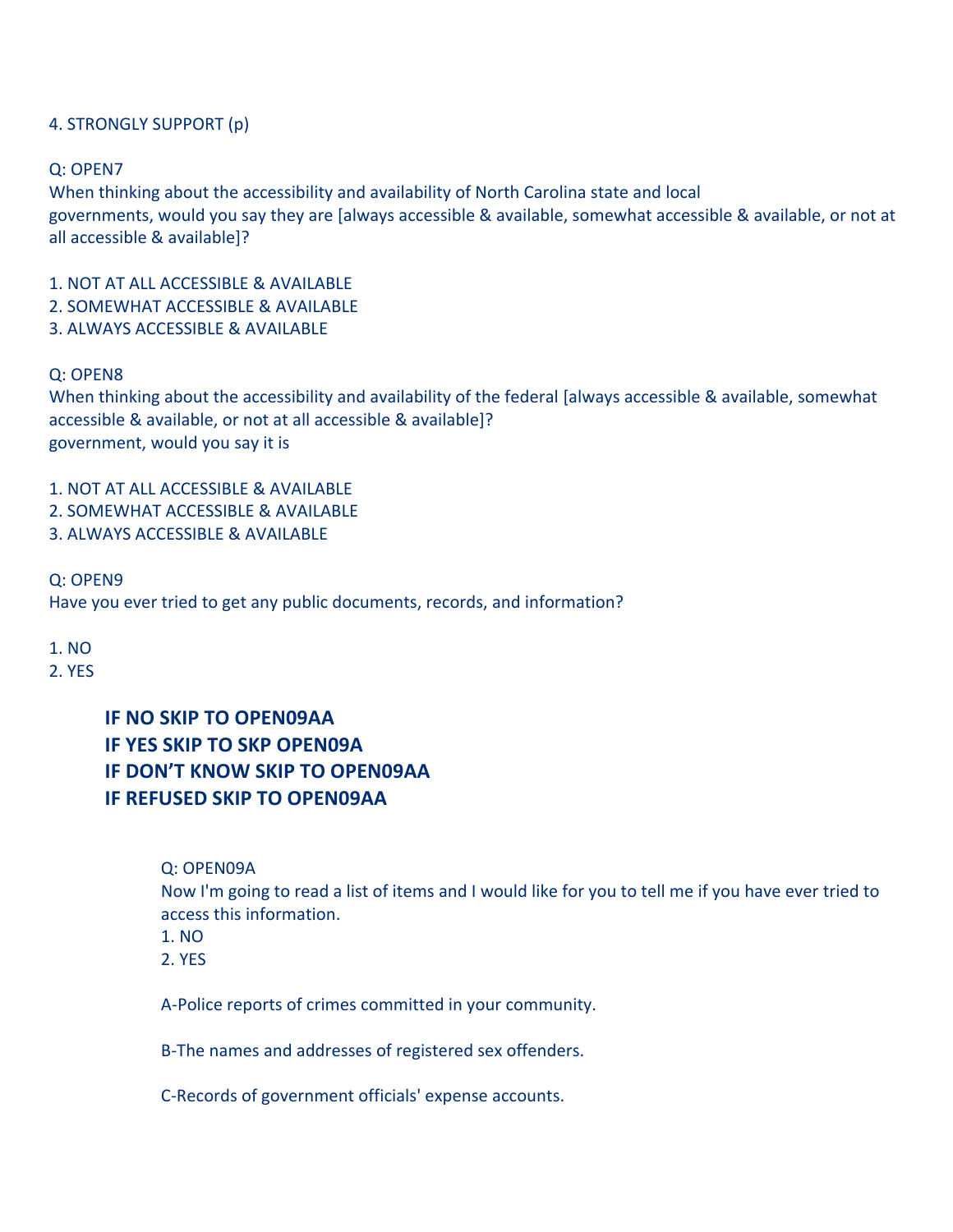### 4.
STRONGLY
SUPPORT
(p)

#### Q:
OPEN7

When thinking about the accessibility and availability of North Carolina state and local governments, would you say they are [always accessible & available, somewhat accessible & available, or not at all
accessible
&
available]?

1.
NOT
AT
ALL
ACCESSIBLE
&
AVAILABLE

- 2.
SOMEWHAT
ACCESSIBLE
&
AVAILABLE
- 3.
ALWAYS
ACCESSIBLE
&
AVAILABLE

### Q:
OPEN8

When thinking about the accessibility and availability of the federal [always accessible & available, somewhat accessible
&
available,
or
not
at
all
accessible
&
available]? government,
would
you
say
it
is

1.
NOT
AT
ALL
ACCESSIBLE
&
AVAILABLE

- 2.
SOMEWHAT
ACCESSIBLE
&
AVAILABLE
- 3.
ALWAYS
ACCESSIBLE
&
AVAILABLE

#### Q:
OPEN9

Have
you
ever
tried
to
get
any
public
documents,
records,
and
information?

#### 1.
NO

2.
YES

# **IF NO SKIP TO OPEN09AA IF YES SKIP TO SKP OPEN09A IF DON'T KNOW SKIP TO OPEN09AA IF REFUSED SKIP TO OPEN09AA**

### Q:
OPEN09A

Now I'm going to read a list of items and I would like for you to tell me if you have ever tried to access
this
information.

- 1.
NO
- 2.
YES

A‐Police
reports
of
crimes
committed
in
your
community.

B‐The
names
and
addresses
of
registered
sex
offenders.

C‐Records
of
government
officials'
expense
accounts.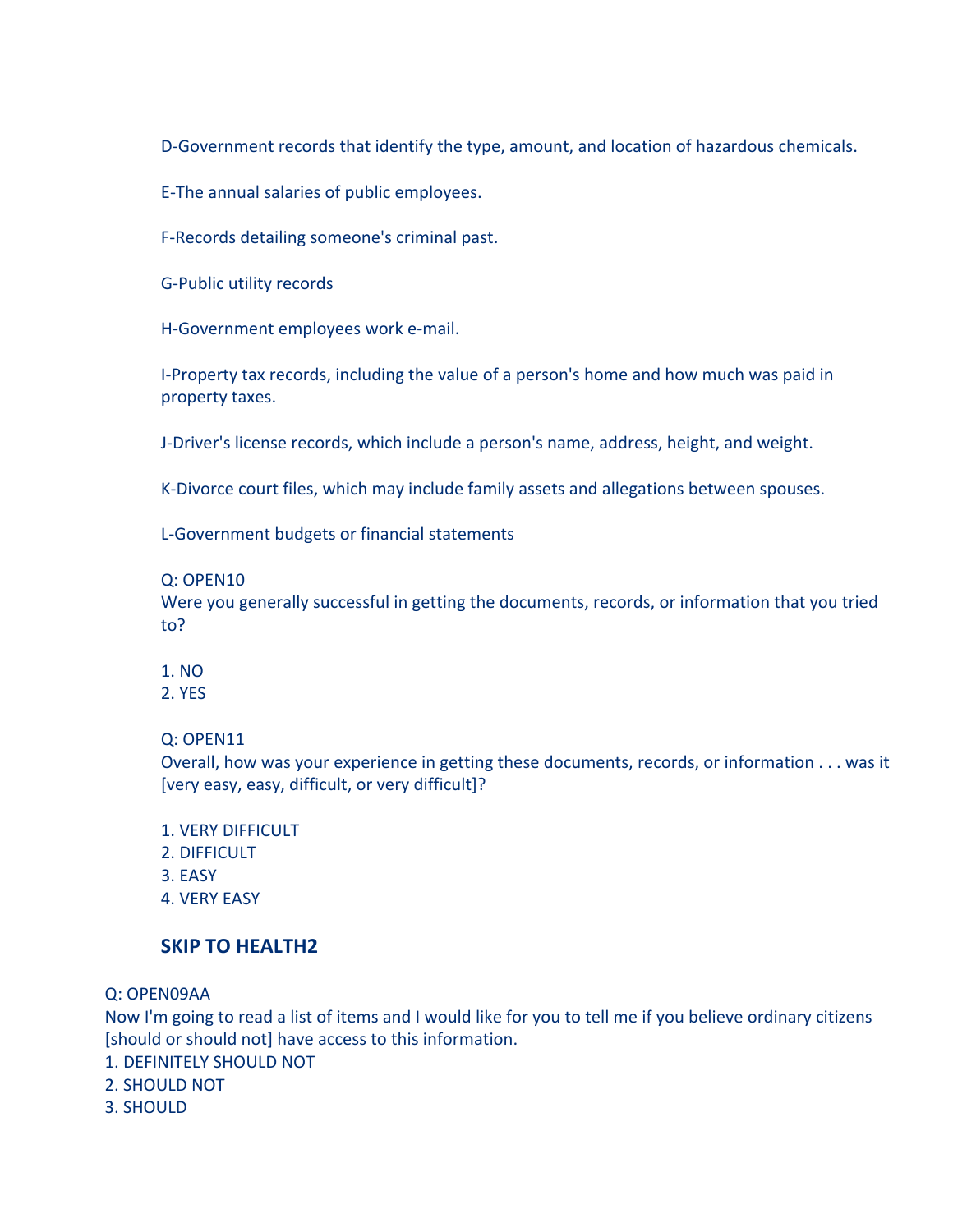D-Government records that identify the type, amount, and location of hazardous chemicals.

E‐The
annual
salaries
of
public
employees.

F‐Records
detailing
someone's criminal
past.

G‐Public
utility
records

H‐Government
employees
work e‐mail.

I-Property tax records, including the value of a person's home and how much was paid in property
taxes.

J-Driver's license records, which include a person's name, address, height, and weight.

K-Divorce court files, which may include family assets and allegations between spouses.

L‐Government
budgets
or
financial
statements

#### Q:
OPEN10

Were you generally successful in getting the documents, records, or information that you tried to?

1.
NO

#### 2.
YES

Q:
OPEN11

Overall, how was your experience in getting these documents, records, or information . . . was it [very
easy,
easy,
difficult,
or
very
difficult]?

- 1.
VERY
DIFFICULT
- 2.
DIFFICULT
- 3.
EASY
- 4.
VERY
EASY

### **SKIP TO HEALTH2**

Q:
OPEN09AA

Now I'm going to read a list of items and I would like for you to tell me if you believe ordinary citizens Ishould or should not lhave access to this information.

- 1.
DEFINITELY
SHOULD
NOT
- 2.
SHOULD
NOT
- 3.
SHOULD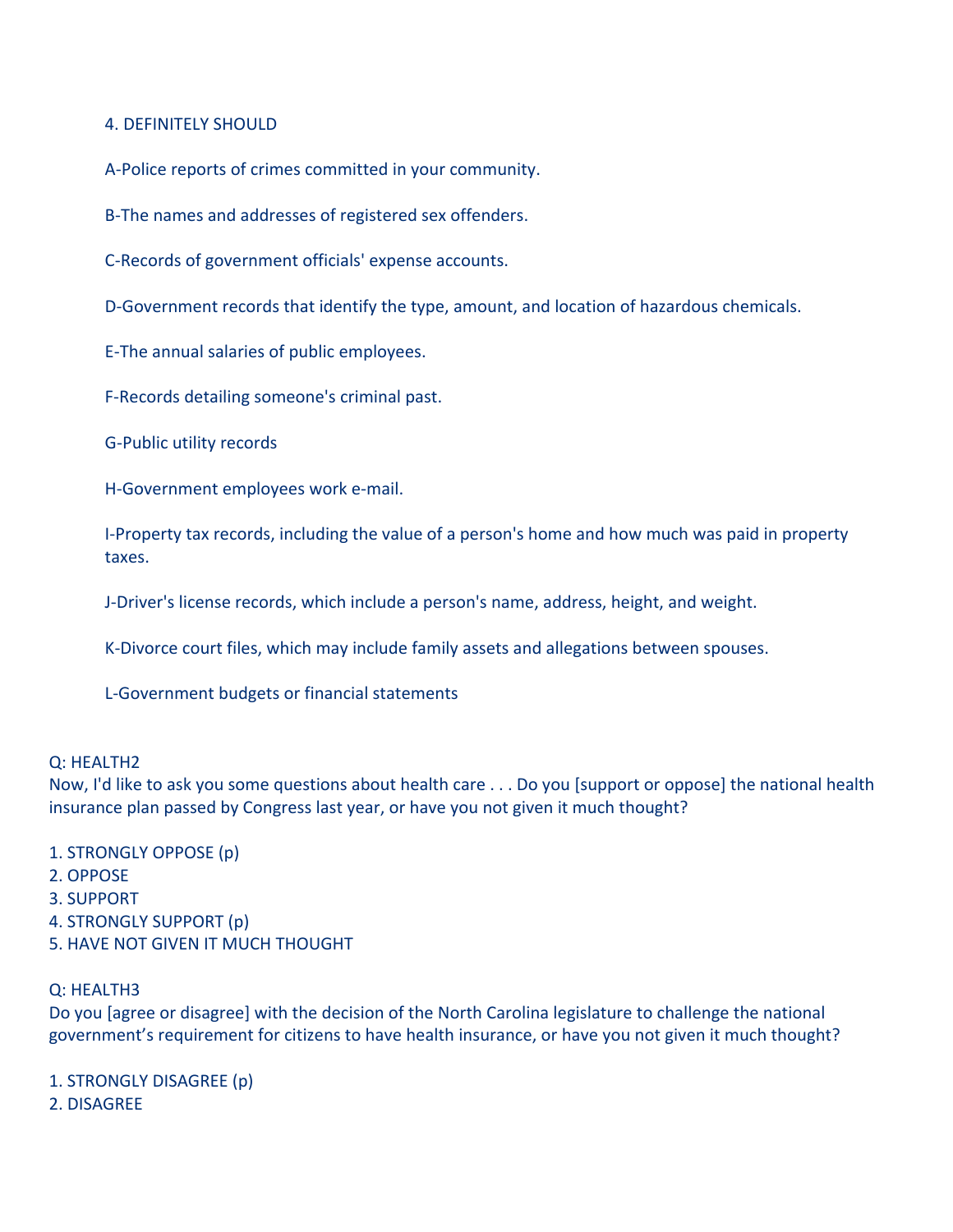### 4.
DEFINITELY
SHOULD

A‐Police
reports
of
crimes
committed
in
your
community.

B‐The
names
and
addresses
of
registered
sex
offenders.

C‐Records
of
government
officials'
expense
accounts.

D-Government records that identify the type, amount, and location of hazardous chemicals.

E‐The
annual
salaries
of
public
employees.

F‐Records
detailing
someone's
criminal
past.

G‐Public
utility
records

H‐Government
employees
work e‐mail.

I-Property tax records, including the value of a person's home and how much was paid in property taxes.

J‐Driver's
license
records,
which
include
a
person's
name, address,
height,
and
weight.

K‐Divorce
court
files,
which
may
include
family
assets
and allegations
between
spouses.

L‐Government
budgets
or
financial
statements

#### Q:
HEALTH2

Now, I'd like to ask you some questions about health care . . . Do you [support or oppose] the national health insurance plan passed by Congress last year, or have you not given it much thought?

- 1.
STRONGLY
OPPOSE
(p)
- 2.
OPPOSE
- 3.
SUPPORT
- 4.
STRONGLY
SUPPORT
(p)
- 5.
HAVE
NOT
GIVEN
IT
MUCH
THOUGHT

#### Q:
HEALTH3

Do you [agree or disagree] with the decision of the North Carolina legislature to challenge the national government's requirement for citizens to have health insurance, or have you not given it much thought?

1.
STRONGLY
DISAGREE
(p) 2.
DISAGREE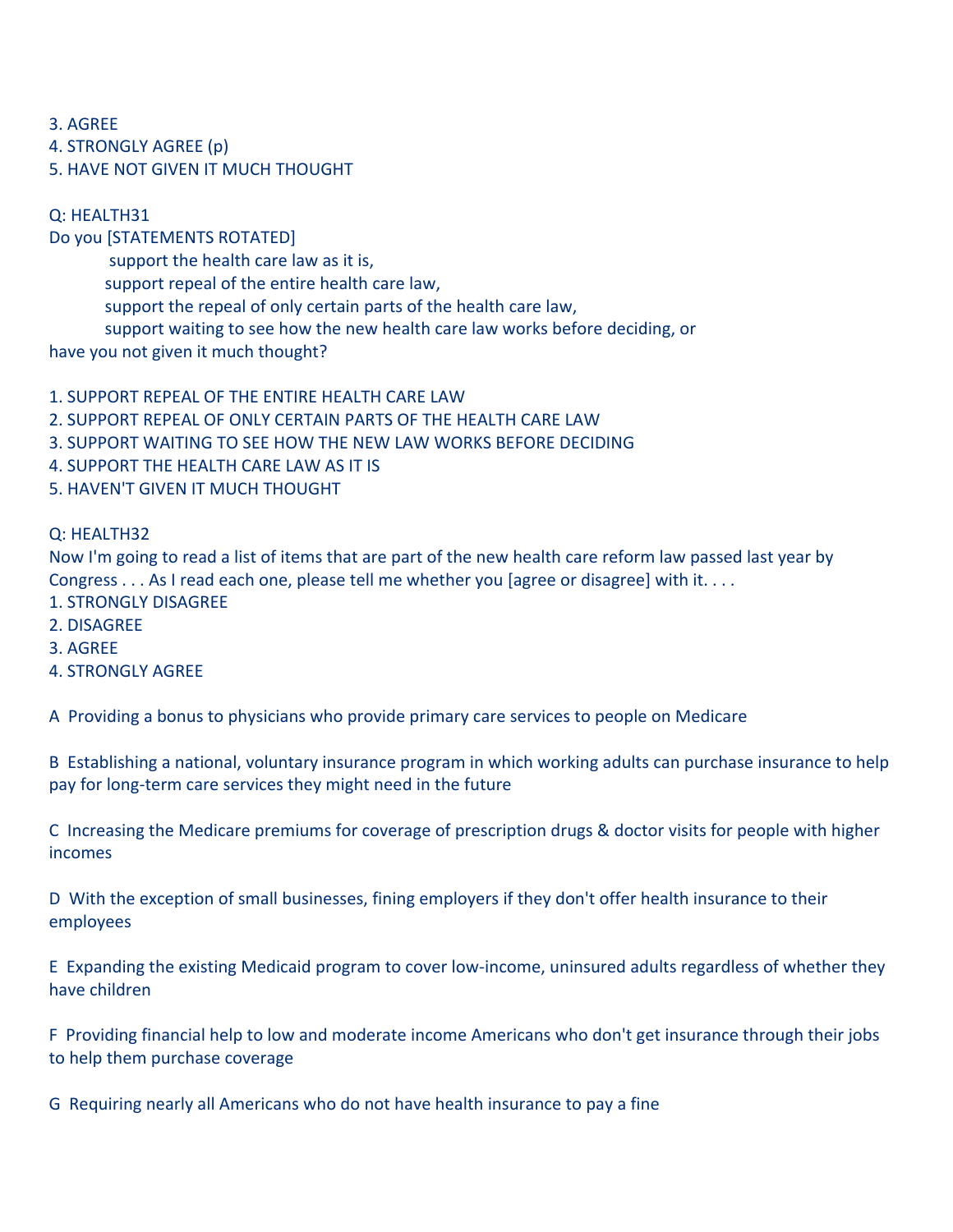3.
AGREE

4.
STRONGLY
AGREE
(p)

5.
HAVE
NOT
GIVEN
IT
MUCH
THOUGHT

### Q:
HEALTH31

Do
you
[STATEMENTS
ROTATED]

support the health care law as it is,

support repeal of the entire health care law,

support the repeal of only certain parts of the health care law,

support waiting to see how the new health care law works before deciding, or

have
you
not
given
it
much
thought?

1. SUPPORT REPEAL OF THE ENTIRE HEALTH CARE LAW

2. SUPPORT REPEAL OF ONLY CERTAIN PARTS OF THE HEALTH CARE LAW

3.
SUPPORT
WAITING
TO
SEE
HOW
THE
NEW
LAW
WORKS
BEFORE
DECIDING

4.
SUPPORT
THE
HEALTH
CARE
LAW
AS
IT
IS

5.
HAVEN'T
GIVEN
IT
MUCH
THOUGHT

### Q:
HEALTH32

Now I'm going to read a list of items that are part of the new health care reform law passed last year by Congress . . . As I read each one, please tell me whether you [agree or disagree] with it. . . .

- 1.
STRONGLY
DISAGREE
- 2.
DISAGREE
- 3.
AGREE
- 4.
STRONGLY
AGREE

A Providing a bonus to physicians who provide primary care services to people on Medicare

B Establishing a national, voluntary insurance program in which working adults can purchase insurance to help pay
for
long‐term
care
services
they
might
need
in
the
future

C Increasing the Medicare premiums for coverage of prescription drugs & doctor visits for people with higher incomes

D With the exception of small businesses, fining employers if they don't offer health insurance to their employees

E Expanding the existing Medicaid program to cover low-income, uninsured adults regardless of whether they have
children

F Providing financial help to low and moderate income Americans who don't get insurance through their jobs to
help
them
purchase
coverage

G Requiring nearly all Americans who do not have health insurance to pay a fine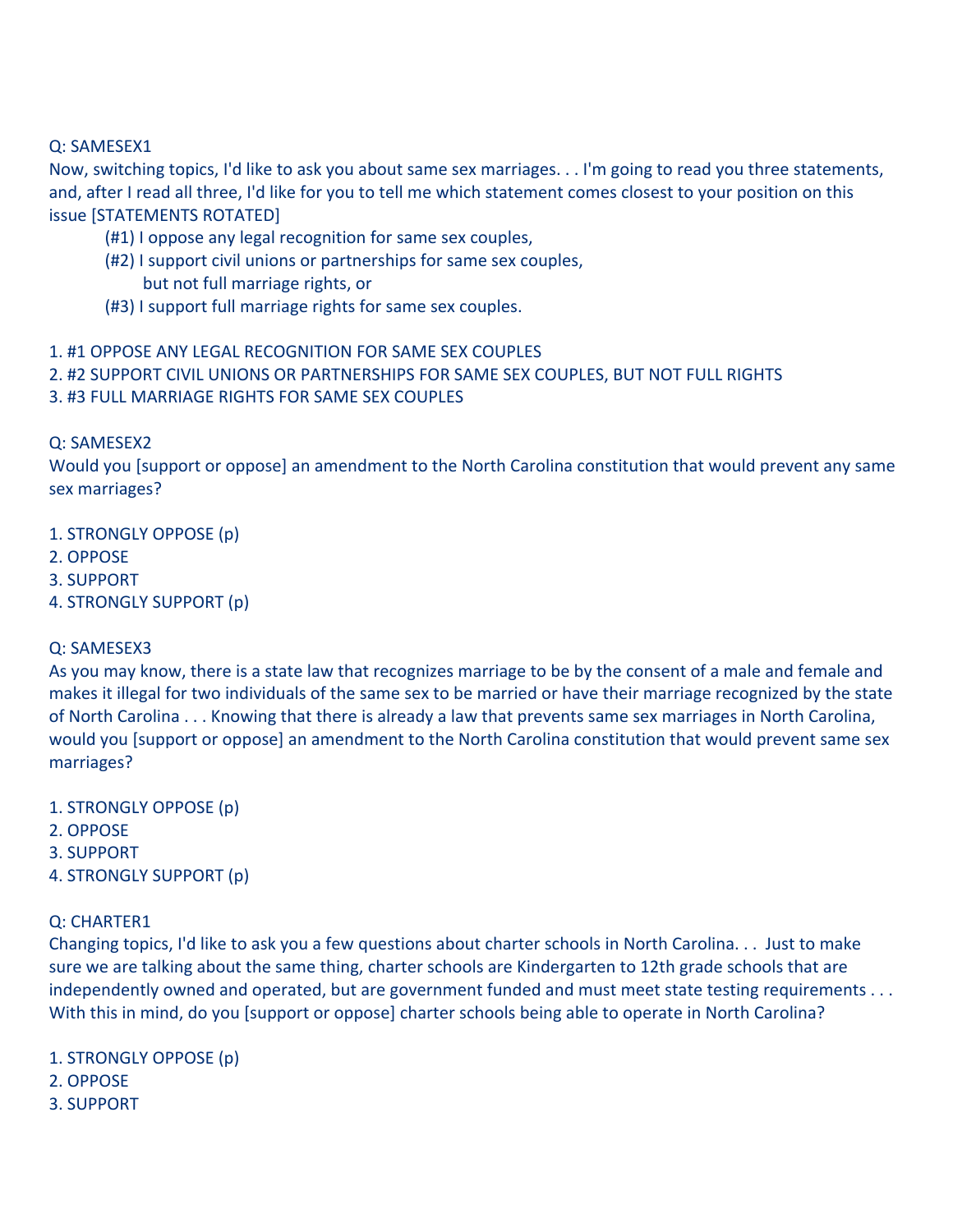### Q:
SAMESEX1

Now, switching topics, I'd like to ask you about same sex marriages. . . I'm going to read you three statements, and, after I read all three, I'd like for you to tell me which statement comes closest to your position on this issue
[STATEMENTS
ROTATED]

- (#1)
I
oppose
any
legal
recognition
for
same
sex
couples,
- (#2)
I
support
civil
unions
or
partnerships
for
same
sex
couples, but
not
full
marriage
rights,
or
- (#3)
I
support
full
marriage
rights
for
same
sex
couples.
- 1.
#1
OPPOSE
ANY
LEGAL
RECOGNITION
FOR
SAME
SEX
COUPLES
- 2. #2 SUPPORT CIVIL UNIONS OR PARTNERSHIPS FOR SAME SEX COUPLES, BUT NOT FULL RIGHTS
- 3.
#3
FULL
MARRIAGE
RIGHTS
FOR
SAME
SEX
COUPLES

Q:
SAMESEX2

Would you [support or oppose] an amendment to the North Carolina constitution that would prevent any same sex
marriages?

1.
STRONGLY
OPPOSE
(p)

- 2.
OPPOSE
- 3.
SUPPORT
- 4.
STRONGLY
SUPPORT
(p)

### Q:
SAMESEX3

As you may know, there is a state law that recognizes marriage to be by the consent of a male and female and makes it illegal for two individuals of the same sex to be married or have their marriage recognized by the state of North Carolina . . . Knowing that there is already a law that prevents same sex marriages in North Carolina, would you [support or oppose] an amendment to the North Carolina constitution that would prevent same sex marriages?

- 1.
STRONGLY
OPPOSE
(p)
- 2.
OPPOSE
- 3.
SUPPORT
- 4.
STRONGLY
SUPPORT
(p)

### Q:
CHARTER1

Changing topics, I'd like to ask you a few questions about charter schools in North Carolina... Just to make sure we are talking about the same thing, charter schools are Kindergarten to 12th grade schools that are independently owned and operated, but are government funded and must meet state testing requirements . . . With this in mind, do you [support or oppose] charter schools being able to operate in North Carolina?

- 1.
STRONGLY
OPPOSE
(p)
- 2.
OPPOSE
- 3.
SUPPORT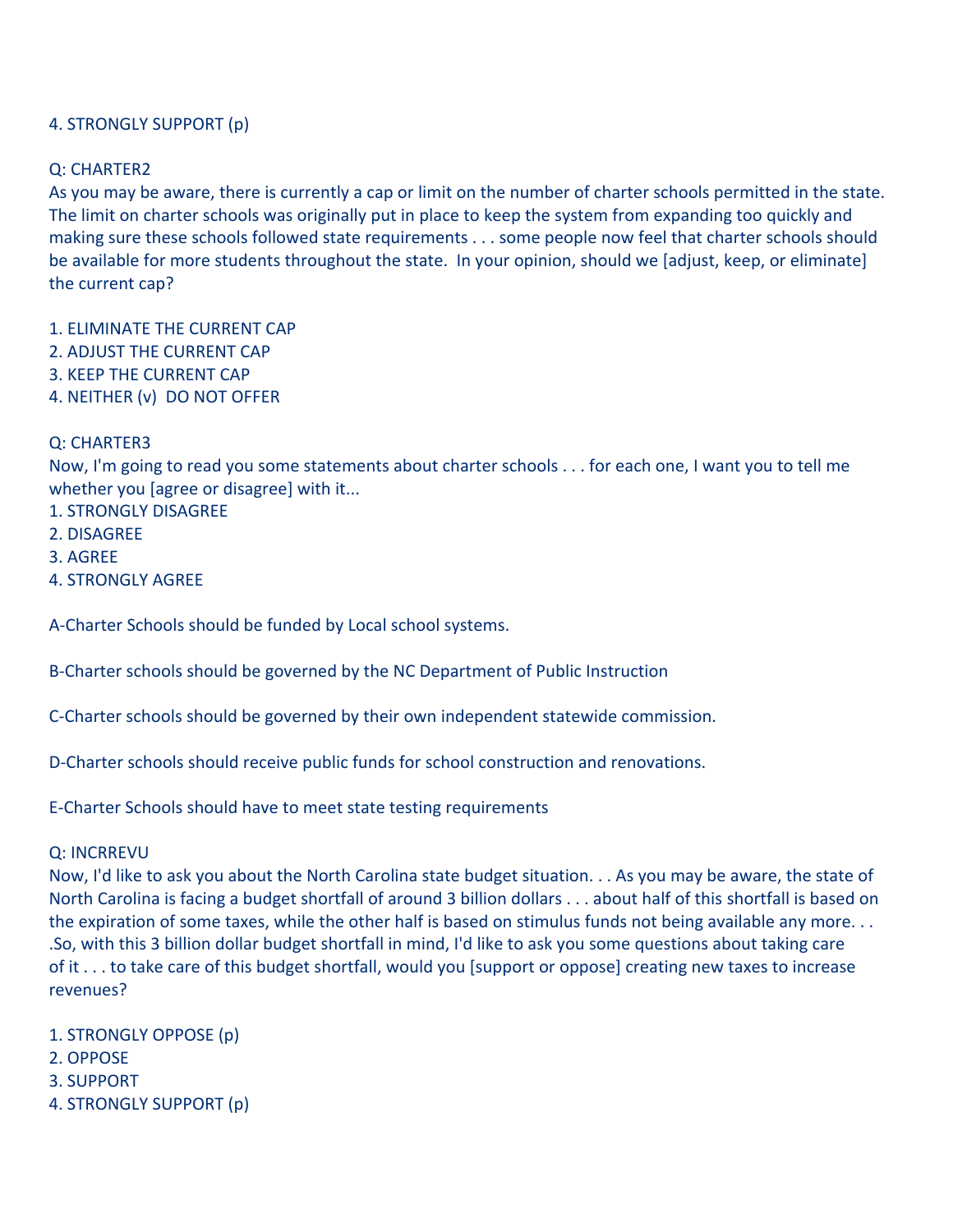### 4.
STRONGLY
SUPPORT
(p)

### Q:
CHARTER2

As you may be aware, there is currently a cap or limit on the number of charter schools permitted in the state. The limit on charter schools was originally put in place to keep the system from expanding too quickly and making sure these schools followed state requirements . . . some people now feel that charter schools should be available for more students throughout the state. In your opinion, should we [adjust, keep, or eliminate] the
current
cap?

- 1.
ELIMINATE
THE
CURRENT
CAP
- 2.
ADJUST
THE
CURRENT
CAP
- 3.
KEEP
THE
CURRENT
CAP
- 4.
NEITHER
(v)

DO
NOT
OFFER

#### Q:
CHARTER3

Now, I'm going to read you some statements about charter schools . . . for each one, I want you to tell me whether you [agree or disagree] with it...

- 1.
STRONGLY
DISAGREE
- 2.
DISAGREE
- 3.
AGREE
- 4.
STRONGLY
AGREE

A‐Charter
Schools
should
be
funded
by
Local
school
systems.

B‐Charter
schools
should
be governed
by
the
NC
Department of
Public
Instruction

C‐Charter
schools
should
be
governed
by
their
own
independent
statewide
commission.

D-Charter schools should receive public funds for school construction and renovations.

E‐Charter
Schools
should
have to
meet
state
testing
requirements

#### Q:
INCRREVU

Now, I'd like to ask you about the North Carolina state budget situation. . . As you may be aware, the state of North Carolina is facing a budget shortfall of around 3 billion dollars . . . about half of this shortfall is based on the expiration of some taxes, while the other half is based on stimulus funds not being available any more... .So,
with
this
3
billion
dollar
budget
shortfall
in
mind,
I'd
like
to
ask
you
some
questions
about
taking
care of it . . . to take care of this budget shortfall, would you [support or oppose] creating new taxes to increase revenues?

- 1.
STRONGLY
OPPOSE
(p)
- 2.
OPPOSE
- 3.
SUPPORT
- 4.
STRONGLY
SUPPORT
(p)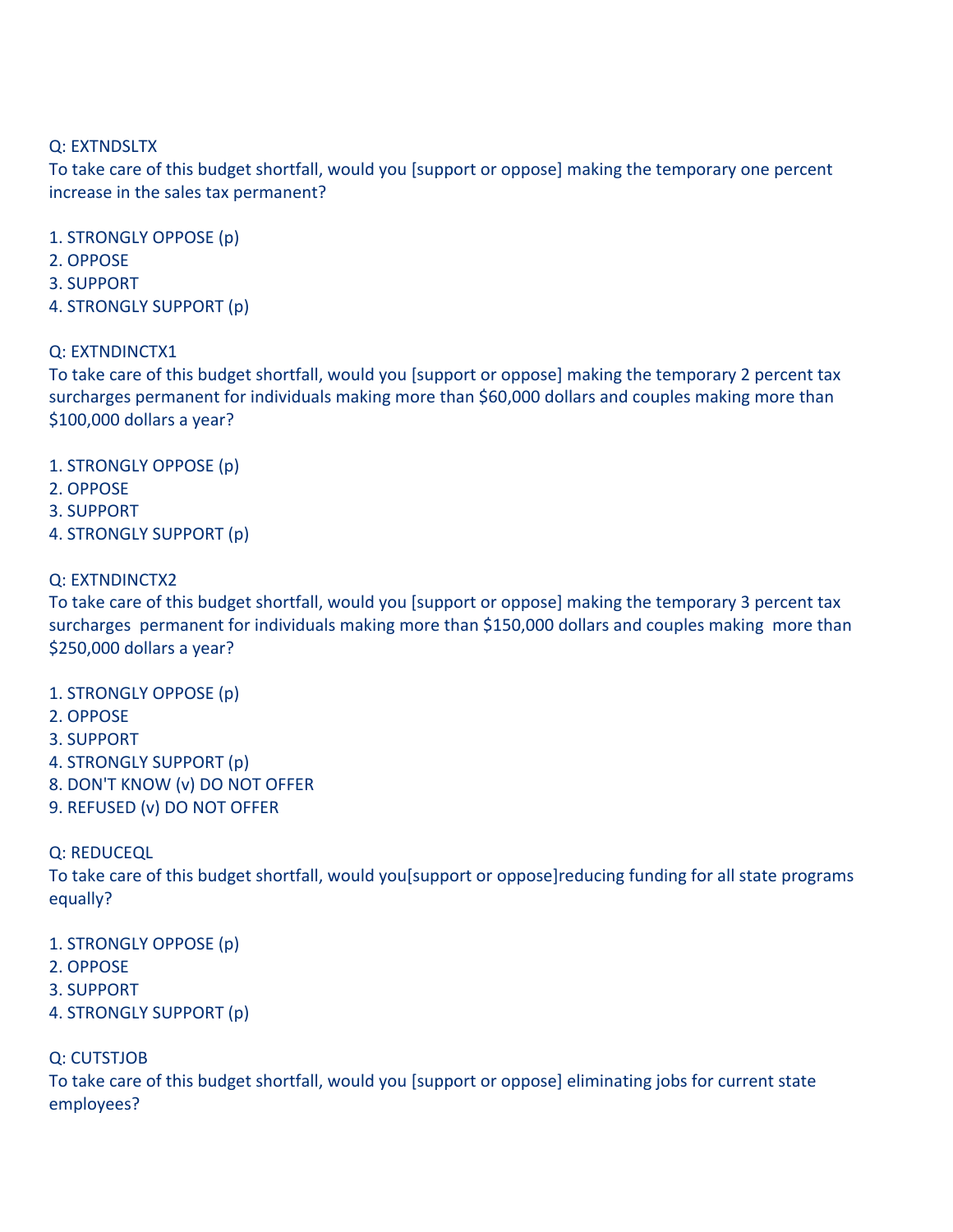### Q:
EXTNDSLTX

To take care of this budget shortfall, would you [support or oppose] making the temporary one percent increase
in
the
sales
tax
permanent?

- 1.
STRONGLY
OPPOSE
(p)
- 2.
OPPOSE
- 3.
SUPPORT
- 4.
STRONGLY
SUPPORT
(p)

### Q:
EXTNDINCTX1

To take care of this budget shortfall, would you [support or oppose] making the temporary 2 percent tax surcharges
permanent
for
individuals
making
more
than
\$60,000
dollars
and
couples
making
more
than \$100,000 dollars a year?

- 1.
STRONGLY
OPPOSE
(p)
- 2.
OPPOSE
- 3.
SUPPORT
- 4.
STRONGLY
SUPPORT
(p)

### Q:
EXTNDINCTX2

To take care of this budget shortfall, would you [support or oppose] making the temporary 3 percent tax surcharges permanent for individuals making more than \$150,000 dollars and couples making more than \$250,000
dollars
a
year?

- 1.
STRONGLY
OPPOSE
(p)
- 2.
OPPOSE
- 3.
SUPPORT
- 4.
STRONGLY
SUPPORT
(p)
- 8.
DON'T
KNOW
(v)
DO
NOT
OFFER
- 9.
REFUSED
(v)
DO
NOT
OFFER

Q:
REDUCEQL

To take care of this budget shortfall, would you[support or oppose]reducing funding for all state programs equally?

- 1.
STRONGLY
OPPOSE
(p)
- 2.
OPPOSE
- 3.
SUPPORT
- 4.
STRONGLY
SUPPORT
(p)

### Q:
CUTSTJOB

To
take
care
of
this
budget
shortfall,
would
you
[support
or
oppose]
eliminating
jobs
for
current
state employees?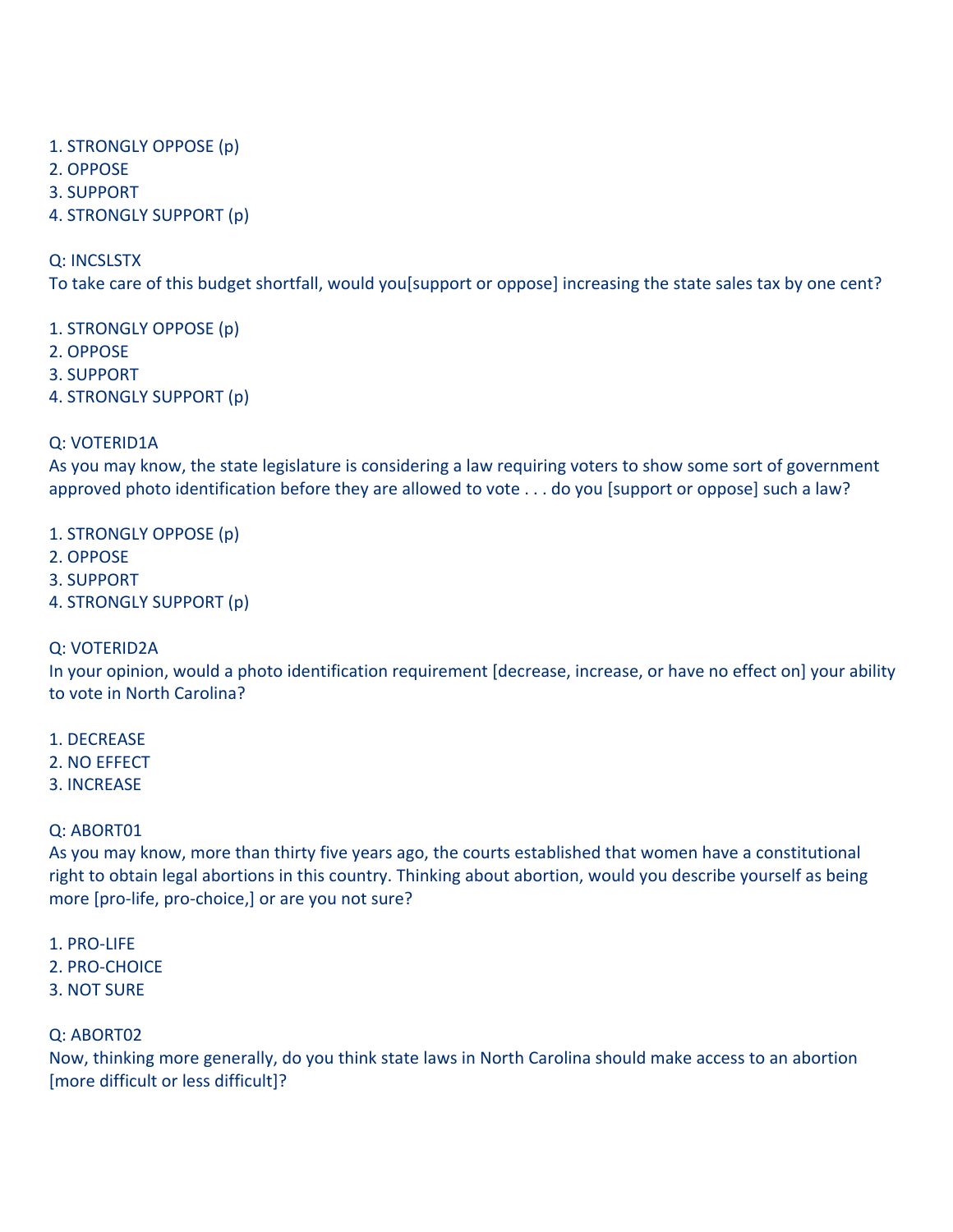- 1.
STRONGLY
OPPOSE
(p)
- 2.
OPPOSE
- 3.
SUPPORT
- 4.
STRONGLY
SUPPORT
(p)

Q:
INCSLSTX

To take care of this budget shortfall, would you[support or oppose] increasing the state sales tax by one cent?

1.
STRONGLY
OPPOSE
(p)

- 2.
OPPOSE
- 3.
SUPPORT
- 4.
STRONGLY
SUPPORT
(p)

# Q:
VOTERID1A

As you may know, the state legislature is considering a law requiring voters to show some sort of government approved photo identification before they are allowed to vote . . . do you [support or oppose] such a law?

1.
STRONGLY
OPPOSE
(p)

- 2.
OPPOSE
- 3.
SUPPORT
- 4.
STRONGLY
SUPPORT
(p)

### Q:
VOTERID2A

In your opinion, would a photo identification requirement [decrease, increase, or have no effect on] your ability to
vote in
North
Carolina?

- 1.
DECREASE
- 2.
NO
EFFECT
- 3.
INCREASE

# Q:
ABORT01

As you may know, more than thirty five years ago, the courts established that women have a constitutional right to obtain legal abortions in this country. Thinking about abortion, would you describe yourself as being more [pro-life, pro-choice,] or are you not sure?

- 1.
PRO‐LIFE
- 2.
PRO‐CHOICE
- 3.
NOT
SURE

# Q:
ABORT02

Now, thinking more generally, do you think state laws in North Carolina should make access to an abortion [more
difficult
or
less
difficult]?